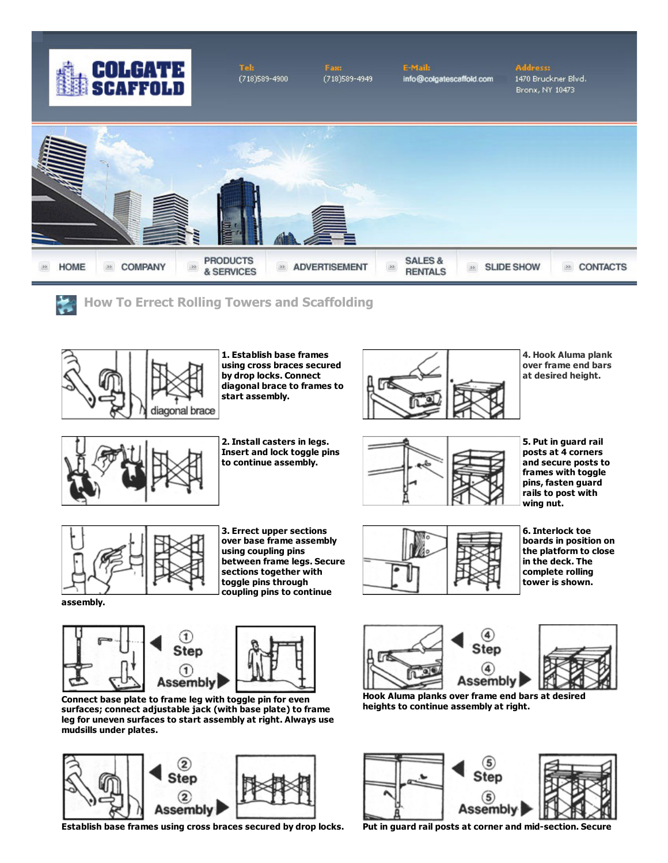

Tak  $(718)589 - 4900$   $(718)589 - 4949$ 

**E-Mail:** info@colgatescaffold.com

## **Address:** 1470 Bruckner Blvd. Bronx, NY 10473





How To Errect Rolling Towers and Scaffolding



1. Establish base frames using cross braces secured by drop locks. Connect diagonal brace to frames to start assembly.



4. Hook Aluma plank over frame end bars at desired height.



2. Install casters in legs. Insert and lock toggle pins to continue assembly.



5. Put in guard rail posts at 4 corners and secure posts to frames with toggle pins, fasten guard rails to post with wing nut.



3. Errect upper sections over base frame assembly using coupling pins between frame legs. Secure sections together with toggle pins through coupling pins to continue



6. Interlock toe boards in position on the platform to close in the deck. The complete rolling tower is shown.

Step



Connect base plate to frame leg with toggle pin for even surfaces; connect adjustable jack (with base plate) to frame leg for uneven surfaces to start assembly at right. Always use mudsills under plates.



Establish base frames using cross braces secured by drop locks. Put in guard rail posts at corner and mid-section. Secure





Hook Aluma planks over frame end bars at desired heights to continue assembly at right.